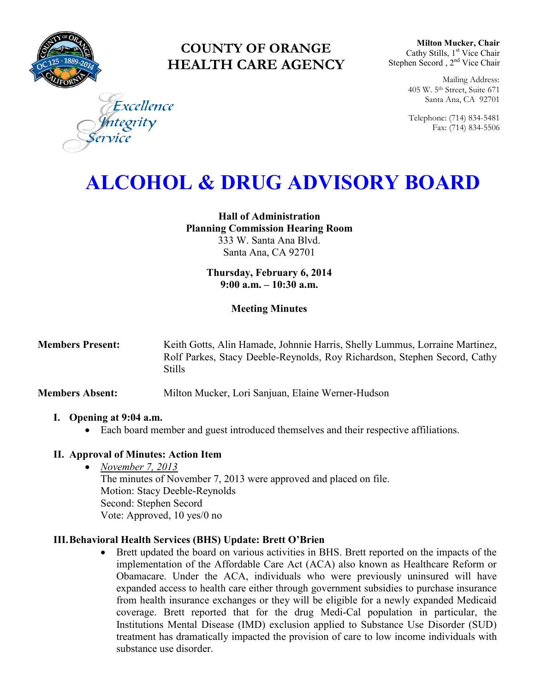

# **COUNTY OF ORANGE HEALTH CARE AGENCY**

**Milton Mucker, Chair** Cathy Stills, 1<sup>st</sup> Vice Chair Stephen Secord, 2<sup>nd</sup> Vice Chair

> Mailing Address: 405 W. 5th Street, Suite 671 Santa Ana, CA 92701

> Telephone: (714) 834-5481 Fax: (714) 834-5506

Excellence egrity

# **ALCOHOL & DRUG ADVISORY BOARD**

**Hall of Administration Planning Commission Hearing Room**  333 W. Santa Ana Blvd. Santa Ana, CA 92701

> **Thursday, February 6, 2014 9:00 a.m. – 10:30 a.m.**

## **Meeting Minutes**

**Members Present:** Keith Gotts, Alin Hamade, Johnnie Harris, Shelly Lummus, Lorraine Martinez, Rolf Parkes, Stacy Deeble-Reynolds, Roy Richardson, Stephen Secord, Cathy Stills

**Members Absent:** Milton Mucker, Lori Sanjuan, Elaine Werner-Hudson

#### **I. Opening at 9:04 a.m.**

Each board member and guest introduced themselves and their respective affiliations.

#### **II. Approval of Minutes: Action Item**

 *November 7, 2013* The minutes of November 7, 2013 were approved and placed on file. Motion: Stacy Deeble-Reynolds Second: Stephen Secord Vote: Approved, 10 yes/0 no

#### **III.Behavioral Health Services (BHS) Update: Brett O'Brien**

 Brett updated the board on various activities in BHS. Brett reported on the impacts of the implementation of the Affordable Care Act (ACA) also known as Healthcare Reform or Obamacare. Under the ACA, individuals who were previously uninsured will have expanded access to health care either through government subsidies to purchase insurance from health insurance exchanges or they will be eligible for a newly expanded Medicaid coverage. Brett reported that for the drug Medi-Cal population in particular, the Institutions Mental Disease (IMD) exclusion applied to Substance Use Disorder (SUD) treatment has dramatically impacted the provision of care to low income individuals with substance use disorder.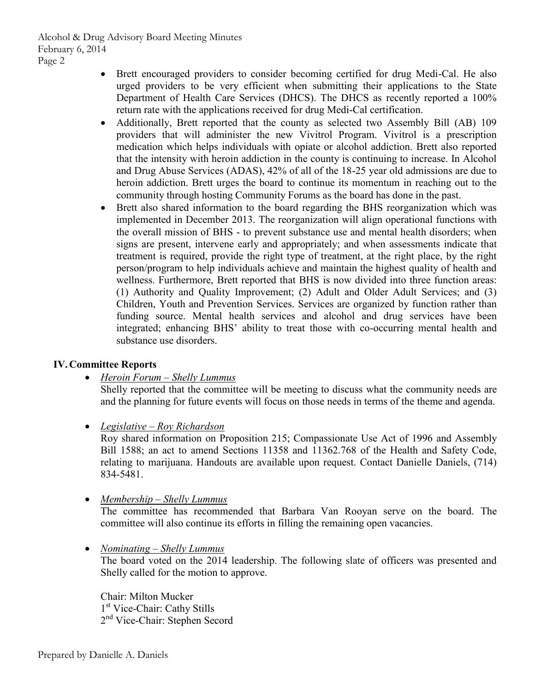Alcohol & Drug Advisory Board Meeting Minutes February 6, 2014 Page 2

- Brett encouraged providers to consider becoming certified for drug Medi-Cal. He also urged providers to be very efficient when submitting their applications to the State Department of Health Care Services (DHCS). The DHCS as recently reported a 100% return rate with the applications received for drug Medi-Cal certification.
- Additionally, Brett reported that the county as selected two Assembly Bill (AB) 109 providers that will administer the new Vivitrol Program. Vivitrol is a prescription medication which helps individuals with opiate or alcohol addiction. Brett also reported that the intensity with heroin addiction in the county is continuing to increase. In Alcohol and Drug Abuse Services (ADAS), 42% of all of the 18-25 year old admissions are due to heroin addiction. Brett urges the board to continue its momentum in reaching out to the community through hosting Community Forums as the board has done in the past.
- Brett also shared information to the board regarding the BHS reorganization which was implemented in December 2013. The reorganization will align operational functions with the overall mission of BHS - to prevent substance use and mental health disorders; when signs are present, intervene early and appropriately; and when assessments indicate that treatment is required, provide the right type of treatment, at the right place, by the right person/program to help individuals achieve and maintain the highest quality of health and wellness. Furthermore, Brett reported that BHS is now divided into three function areas: (1) Authority and Quality Improvement; (2) Adult and Older Adult Services; and (3) Children, Youth and Prevention Services. Services are organized by function rather than funding source. Mental health services and alcohol and drug services have been integrated; enhancing BHS' ability to treat those with co-occurring mental health and substance use disorders.

## **IV.Committee Reports**

*Heroin Forum – Shelly Lummus* 

Shelly reported that the committee will be meeting to discuss what the community needs are and the planning for future events will focus on those needs in terms of the theme and agenda.

*Legislative – Roy Richardson* 

Roy shared information on Proposition 215; Compassionate Use Act of 1996 and Assembly Bill 1588; an act to amend Sections 11358 and 11362.768 of the Health and Safety Code, relating to marijuana. Handouts are available upon request. Contact Danielle Daniels, (714) 834-5481.

*Membership – Shelly Lummus* 

The committee has recommended that Barbara Van Rooyan serve on the board. The committee will also continue its efforts in filling the remaining open vacancies.

*Nominating – Shelly Lummus* 

The board voted on the 2014 leadership. The following slate of officers was presented and Shelly called for the motion to approve.

Chair: Milton Mucker 1 st Vice-Chair: Cathy Stills 2<sup>nd</sup> Vice-Chair: Stephen Secord